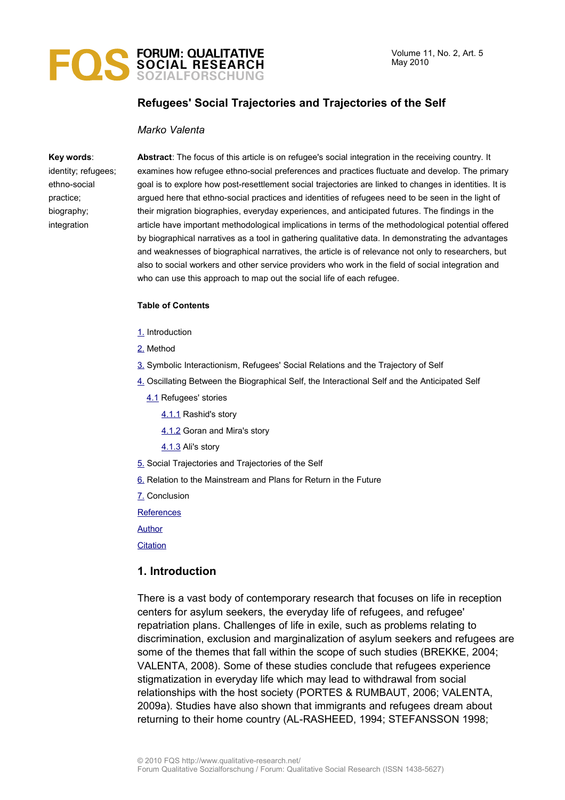

# **Refugees' Social Trajectories and Trajectories of the Self**

### *Marko Valenta*

#### **Key words**:

identity; refugees; ethno-social practice; biography; integration

**Abstract**: The focus of this article is on refugee's social integration in the receiving country. It examines how refugee ethno-social preferences and practices fluctuate and develop. The primary goal is to explore how post-resettlement social trajectories are linked to changes in identities. It is argued here that ethno-social practices and identities of refugees need to be seen in the light of their migration biographies, everyday experiences, and anticipated futures. The findings in the article have important methodological implications in terms of the methodological potential offered by biographical narratives as a tool in gathering qualitative data. In demonstrating the advantages and weaknesses of biographical narratives, the article is of relevance not only to researchers, but also to social workers and other service providers who work in the field of social integration and who can use this approach to map out the social life of each refugee.

#### **Table of Contents**

- [1.](#page-0-0) Introduction
- [2.](#page-2-0) Method
- [3.](#page-4-0) Symbolic Interactionism, Refugees' Social Relations and the Trajectory of Self
- [4.](#page-6-0) Oscillating Between the Biographical Self, the Interactional Self and the Anticipated Self
	- [4.1](#page-7-0) Refugees' stories
		- [4.1.1](#page-8-0) Rashid's story
		- [4.1.2](#page-10-0) Goran and Mira's story
		- [4.1.3](#page-11-0) Ali's story
- [5.](#page-14-0) Social Trajectories and Trajectories of the Self
- [6.](#page-15-0) Relation to the Mainstream and Plans for Return in the Future
- [7.](#page-16-0) Conclusion

**[References](#page-18-0)** 

[Author](#page-19-0)

**[Citation](#page-20-0)** 

### <span id="page-0-0"></span>**1. Introduction**

There is a vast body of contemporary research that focuses on life in reception centers for asylum seekers, the everyday life of refugees, and refugee' repatriation plans. Challenges of life in exile, such as problems relating to discrimination, exclusion and marginalization of asylum seekers and refugees are some of the themes that fall within the scope of such studies (BREKKE, 2004; VALENTA, 2008). Some of these studies conclude that refugees experience stigmatization in everyday life which may lead to withdrawal from social relationships with the host society (PORTES & RUMBAUT, 2006; VALENTA, 2009a). Studies have also shown that immigrants and refugees dream about returning to their home country (AL-RASHEED, 1994; STEFANSSON 1998;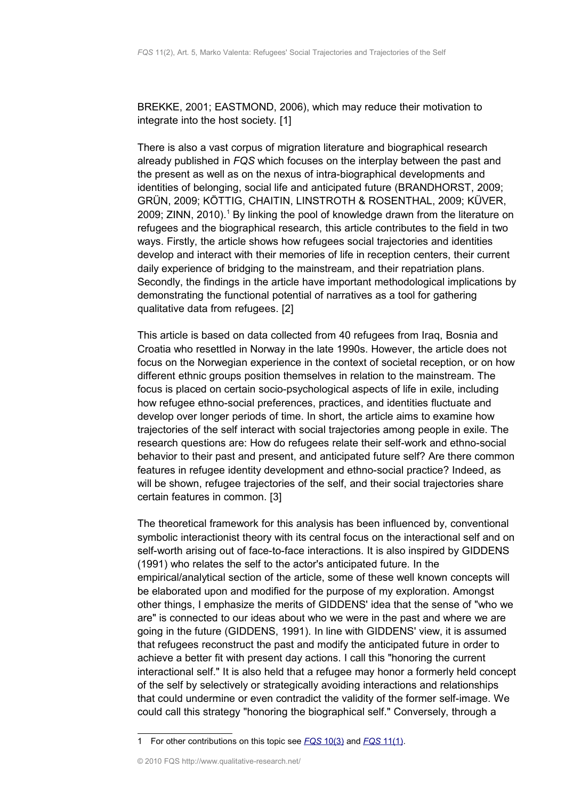BREKKE, 2001; EASTMOND, 2006), which may reduce their motivation to integrate into the host society. [1]

There is also a vast corpus of migration literature and biographical research already published in *FQS* which focuses on the interplay between the past and the present as well as on the nexus of intra-biographical developments and identities of belonging, social life and anticipated future (BRANDHORST, 2009; GRÜN, 2009; KÖTTIG, CHAITIN, LINSTROTH & ROSENTHAL, 2009; KÜVER, 2009; ZINN, 20[1](#page-1-0)0).<sup>1</sup> By linking the pool of knowledge drawn from the literature on refugees and the biographical research, this article contributes to the field in two ways. Firstly, the article shows how refugees social trajectories and identities develop and interact with their memories of life in reception centers, their current daily experience of bridging to the mainstream, and their repatriation plans. Secondly, the findings in the article have important methodological implications by demonstrating the functional potential of narratives as a tool for gathering qualitative data from refugees. [2]

This article is based on data collected from 40 refugees from Iraq, Bosnia and Croatia who resettled in Norway in the late 1990s. However, the article does not focus on the Norwegian experience in the context of societal reception, or on how different ethnic groups position themselves in relation to the mainstream. The focus is placed on certain socio-psychological aspects of life in exile, including how refugee ethno-social preferences, practices, and identities fluctuate and develop over longer periods of time. In short, the article aims to examine how trajectories of the self interact with social trajectories among people in exile. The research questions are: How do refugees relate their self-work and ethno-social behavior to their past and present, and anticipated future self? Are there common features in refugee identity development and ethno-social practice? Indeed, as will be shown, refugee trajectories of the self, and their social trajectories share certain features in common. [3]

The theoretical framework for this analysis has been influenced by, conventional symbolic interactionist theory with its central focus on the interactional self and on self-worth arising out of face-to-face interactions. It is also inspired by GIDDENS (1991) who relates the self to the actor's anticipated future. In the empirical/analytical section of the article, some of these well known concepts will be elaborated upon and modified for the purpose of my exploration. Amongst other things, I emphasize the merits of GIDDENS' idea that the sense of "who we are" is connected to our ideas about who we were in the past and where we are going in the future (GIDDENS, 1991). In line with GIDDENS' view, it is assumed that refugees reconstruct the past and modify the anticipated future in order to achieve a better fit with present day actions. I call this "honoring the current interactional self." It is also held that a refugee may honor a formerly held concept of the self by selectively or strategically avoiding interactions and relationships that could undermine or even contradict the validity of the former self-image. We could call this strategy "honoring the biographical self." Conversely, through a

<span id="page-1-0"></span><sup>1</sup> For other contributions on this topic see *[FQS](http://www.qualitative-research.net/index.php/fqs/issue/view/32)* [10\(3\)](http://www.qualitative-research.net/index.php/fqs/issue/view/32) and *[FQS](http://www.qualitative-research.net/index.php/fqs/issue/view/33)* [11\(1\).](http://www.qualitative-research.net/index.php/fqs/issue/view/33)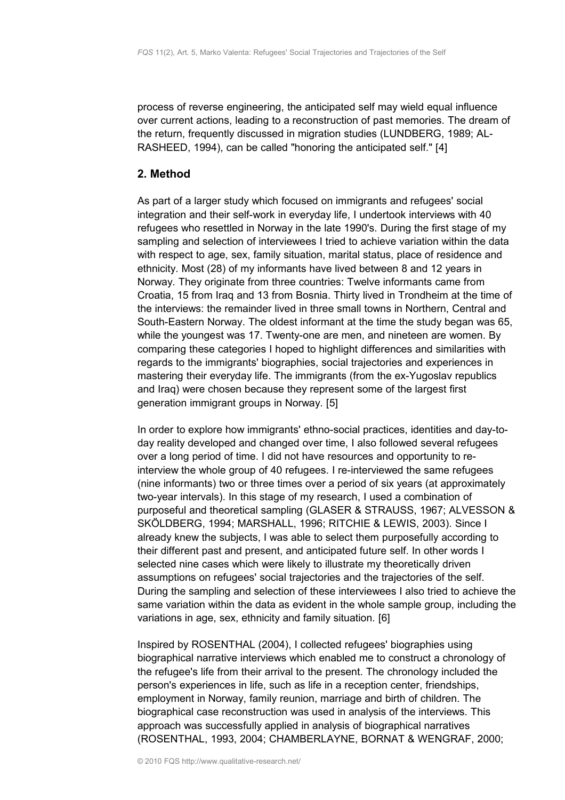process of reverse engineering, the anticipated self may wield equal influence over current actions, leading to a reconstruction of past memories. The dream of the return, frequently discussed in migration studies (LUNDBERG, 1989; AL-RASHEED, 1994), can be called "honoring the anticipated self." [4]

# <span id="page-2-0"></span>**2. Method**

As part of a larger study which focused on immigrants and refugees' social integration and their self-work in everyday life, I undertook interviews with 40 refugees who resettled in Norway in the late 1990's. During the first stage of my sampling and selection of interviewees I tried to achieve variation within the data with respect to age, sex, family situation, marital status, place of residence and ethnicity. Most (28) of my informants have lived between 8 and 12 years in Norway. They originate from three countries: Twelve informants came from Croatia, 15 from Iraq and 13 from Bosnia. Thirty lived in Trondheim at the time of the interviews: the remainder lived in three small towns in Northern, Central and South-Eastern Norway. The oldest informant at the time the study began was 65, while the youngest was 17. Twenty-one are men, and nineteen are women. By comparing these categories I hoped to highlight differences and similarities with regards to the immigrants' biographies, social trajectories and experiences in mastering their everyday life. The immigrants (from the ex-Yugoslav republics and Iraq) were chosen because they represent some of the largest first generation immigrant groups in Norway. [5]

In order to explore how immigrants' ethno-social practices, identities and day-today reality developed and changed over time, I also followed several refugees over a long period of time. I did not have resources and opportunity to reinterview the whole group of 40 refugees. I re-interviewed the same refugees (nine informants) two or three times over a period of six years (at approximately two-year intervals). In this stage of my research, I used a combination of purposeful and theoretical sampling (GLASER & STRAUSS, 1967; ALVESSON & SKÖLDBERG, 1994; MARSHALL, 1996; RITCHIE & LEWIS, 2003). Since I already knew the subjects, I was able to select them purposefully according to their different past and present, and anticipated future self. In other words I selected nine cases which were likely to illustrate my theoretically driven assumptions on refugees' social trajectories and the trajectories of the self. During the sampling and selection of these interviewees I also tried to achieve the same variation within the data as evident in the whole sample group, including the variations in age, sex, ethnicity and family situation. [6]

Inspired by ROSENTHAL (2004), I collected refugees' biographies using biographical narrative interviews which enabled me to construct a chronology of the refugee's life from their arrival to the present. The chronology included the person's experiences in life, such as life in a reception center, friendships, employment in Norway, family reunion, marriage and birth of children. The biographical case reconstruction was used in analysis of the interviews. This approach was successfully applied in analysis of biographical narratives (ROSENTHAL, 1993, 2004; CHAMBERLAYNE, BORNAT & WENGRAF, 2000;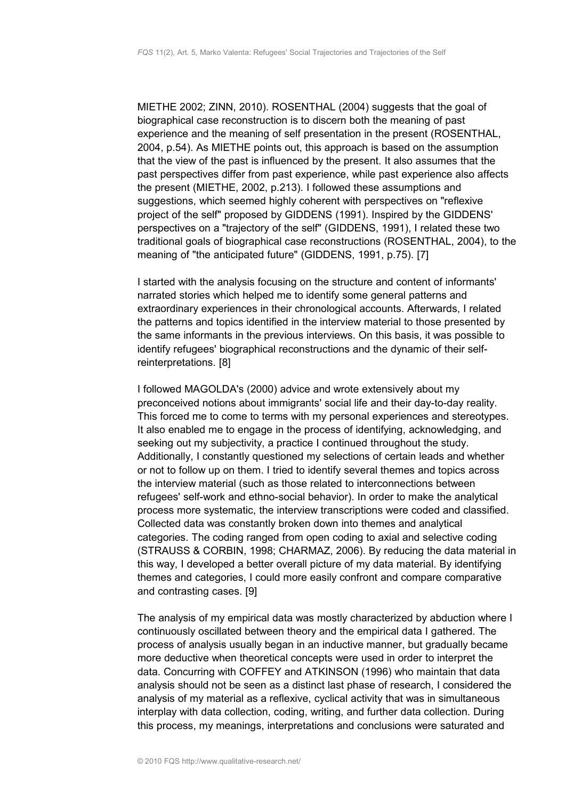MIETHE 2002; ZINN, 2010). ROSENTHAL (2004) suggests that the goal of biographical case reconstruction is to discern both the meaning of past experience and the meaning of self presentation in the present (ROSENTHAL, 2004, p.54). As MIETHE points out, this approach is based on the assumption that the view of the past is influenced by the present. It also assumes that the past perspectives differ from past experience, while past experience also affects the present (MIETHE, 2002, p.213). I followed these assumptions and suggestions, which seemed highly coherent with perspectives on "reflexive project of the self" proposed by GIDDENS (1991). Inspired by the GIDDENS' perspectives on a "trajectory of the self" (GIDDENS, 1991), I related these two traditional goals of biographical case reconstructions (ROSENTHAL, 2004), to the meaning of "the anticipated future" (GIDDENS, 1991, p.75). [7]

I started with the analysis focusing on the structure and content of informants' narrated stories which helped me to identify some general patterns and extraordinary experiences in their chronological accounts. Afterwards, I related the patterns and topics identified in the interview material to those presented by the same informants in the previous interviews. On this basis, it was possible to identify refugees' biographical reconstructions and the dynamic of their selfreinterpretations. [8]

I followed MAGOLDA's (2000) advice and wrote extensively about my preconceived notions about immigrants' social life and their day-to-day reality. This forced me to come to terms with my personal experiences and stereotypes. It also enabled me to engage in the process of identifying, acknowledging, and seeking out my subjectivity, a practice I continued throughout the study. Additionally, I constantly questioned my selections of certain leads and whether or not to follow up on them. I tried to identify several themes and topics across the interview material (such as those related to interconnections between refugees' self-work and ethno-social behavior). In order to make the analytical process more systematic, the interview transcriptions were coded and classified. Collected data was constantly broken down into themes and analytical categories. The coding ranged from open coding to axial and selective coding (STRAUSS & CORBIN, 1998; CHARMAZ, 2006). By reducing the data material in this way, I developed a better overall picture of my data material. By identifying themes and categories, I could more easily confront and compare comparative and contrasting cases. [9]

The analysis of my empirical data was mostly characterized by abduction where I continuously oscillated between theory and the empirical data I gathered. The process of analysis usually began in an inductive manner, but gradually became more deductive when theoretical concepts were used in order to interpret the data. Concurring with COFFEY and ATKINSON (1996) who maintain that data analysis should not be seen as a distinct last phase of research, I considered the analysis of my material as a reflexive, cyclical activity that was in simultaneous interplay with data collection, coding, writing, and further data collection. During this process, my meanings, interpretations and conclusions were saturated and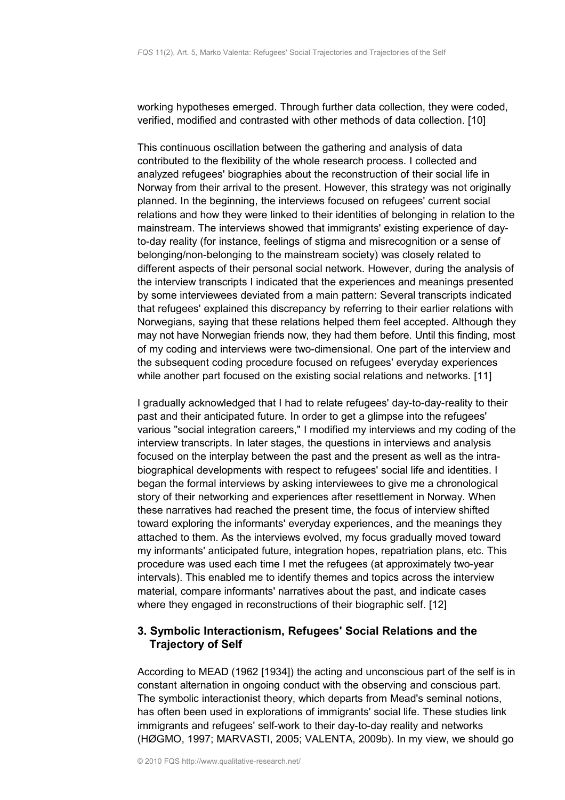working hypotheses emerged. Through further data collection, they were coded, verified, modified and contrasted with other methods of data collection. [10]

This continuous oscillation between the gathering and analysis of data contributed to the flexibility of the whole research process. I collected and analyzed refugees' biographies about the reconstruction of their social life in Norway from their arrival to the present. However, this strategy was not originally planned. In the beginning, the interviews focused on refugees' current social relations and how they were linked to their identities of belonging in relation to the mainstream. The interviews showed that immigrants' existing experience of dayto-day reality (for instance, feelings of stigma and misrecognition or a sense of belonging/non-belonging to the mainstream society) was closely related to different aspects of their personal social network. However, during the analysis of the interview transcripts I indicated that the experiences and meanings presented by some interviewees deviated from a main pattern: Several transcripts indicated that refugees' explained this discrepancy by referring to their earlier relations with Norwegians, saying that these relations helped them feel accepted. Although they may not have Norwegian friends now, they had them before. Until this finding, most of my coding and interviews were two-dimensional. One part of the interview and the subsequent coding procedure focused on refugees' everyday experiences while another part focused on the existing social relations and networks. [11]

I gradually acknowledged that I had to relate refugees' day-to-day-reality to their past and their anticipated future. In order to get a glimpse into the refugees' various "social integration careers," I modified my interviews and my coding of the interview transcripts. In later stages, the questions in interviews and analysis focused on the interplay between the past and the present as well as the intrabiographical developments with respect to refugees' social life and identities. I began the formal interviews by asking interviewees to give me a chronological story of their networking and experiences after resettlement in Norway. When these narratives had reached the present time, the focus of interview shifted toward exploring the informants' everyday experiences, and the meanings they attached to them. As the interviews evolved, my focus gradually moved toward my informants' anticipated future, integration hopes, repatriation plans, etc. This procedure was used each time I met the refugees (at approximately two-year intervals). This enabled me to identify themes and topics across the interview material, compare informants' narratives about the past, and indicate cases where they engaged in reconstructions of their biographic self. [12]

# <span id="page-4-0"></span>**3. Symbolic Interactionism, Refugees' Social Relations and the Trajectory of Self**

According to MEAD (1962 [1934]) the acting and unconscious part of the self is in constant alternation in ongoing conduct with the observing and conscious part. The symbolic interactionist theory, which departs from Mead's seminal notions, has often been used in explorations of immigrants' social life. These studies link immigrants and refugees' self-work to their day-to-day reality and networks (HØGMO, 1997; MARVASTI, 2005; VALENTA, 2009b). In my view, we should go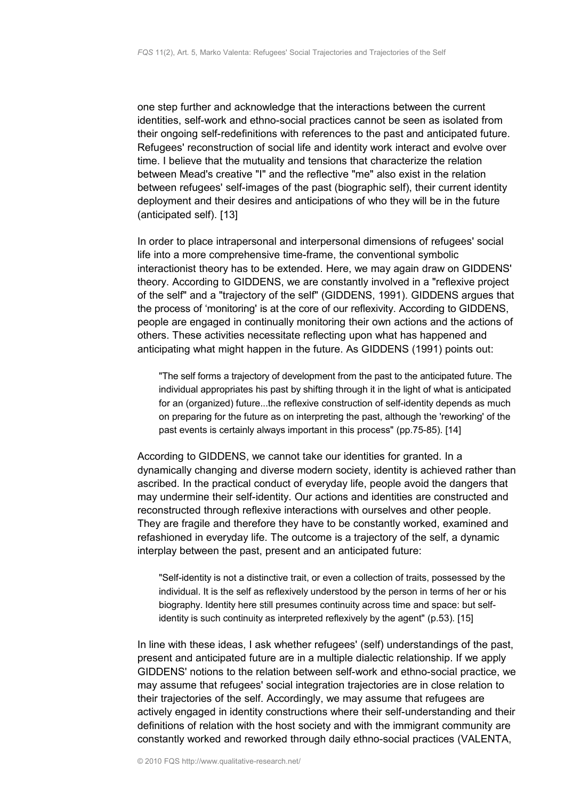one step further and acknowledge that the interactions between the current identities, self-work and ethno-social practices cannot be seen as isolated from their ongoing self-redefinitions with references to the past and anticipated future. Refugees' reconstruction of social life and identity work interact and evolve over time. I believe that the mutuality and tensions that characterize the relation between Mead's creative "I" and the reflective "me" also exist in the relation between refugees' self-images of the past (biographic self), their current identity deployment and their desires and anticipations of who they will be in the future (anticipated self). [13]

In order to place intrapersonal and interpersonal dimensions of refugees' social life into a more comprehensive time-frame, the conventional symbolic interactionist theory has to be extended. Here, we may again draw on GIDDENS' theory. According to GIDDENS, we are constantly involved in a "reflexive project of the self" and a "trajectory of the self" (GIDDENS, 1991). GIDDENS argues that the process of 'monitoring' is at the core of our reflexivity. According to GIDDENS, people are engaged in continually monitoring their own actions and the actions of others. These activities necessitate reflecting upon what has happened and anticipating what might happen in the future. As GIDDENS (1991) points out:

"The self forms a trajectory of development from the past to the anticipated future. The individual appropriates his past by shifting through it in the light of what is anticipated for an (organized) future...the reflexive construction of self-identity depends as much on preparing for the future as on interpreting the past, although the 'reworking' of the past events is certainly always important in this process" (pp.75-85). [14]

According to GIDDENS, we cannot take our identities for granted. In a dynamically changing and diverse modern society, identity is achieved rather than ascribed. In the practical conduct of everyday life, people avoid the dangers that may undermine their self-identity. Our actions and identities are constructed and reconstructed through reflexive interactions with ourselves and other people. They are fragile and therefore they have to be constantly worked, examined and refashioned in everyday life. The outcome is a trajectory of the self, a dynamic interplay between the past, present and an anticipated future:

"Self-identity is not a distinctive trait, or even a collection of traits, possessed by the individual. It is the self as reflexively understood by the person in terms of her or his biography. Identity here still presumes continuity across time and space: but selfidentity is such continuity as interpreted reflexively by the agent" (p.53). [15]

In line with these ideas, I ask whether refugees' (self) understandings of the past, present and anticipated future are in a multiple dialectic relationship. If we apply GIDDENS' notions to the relation between self-work and ethno-social practice, we may assume that refugees' social integration trajectories are in close relation to their trajectories of the self. Accordingly, we may assume that refugees are actively engaged in identity constructions where their self-understanding and their definitions of relation with the host society and with the immigrant community are constantly worked and reworked through daily ethno-social practices (VALENTA,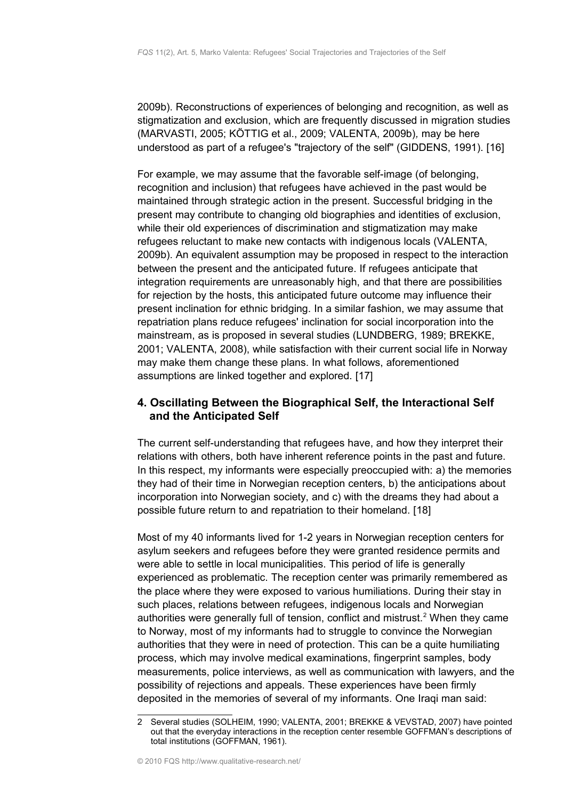2009b). Reconstructions of experiences of belonging and recognition, as well as stigmatization and exclusion, which are frequently discussed in migration studies (MARVASTI, 2005; KÖTTIG et al., 2009; VALENTA, 2009b)*,* may be here understood as part of a refugee's "trajectory of the self" (GIDDENS, 1991). [16]

For example, we may assume that the favorable self-image (of belonging, recognition and inclusion) that refugees have achieved in the past would be maintained through strategic action in the present. Successful bridging in the present may contribute to changing old biographies and identities of exclusion, while their old experiences of discrimination and stigmatization may make refugees reluctant to make new contacts with indigenous locals (VALENTA, 2009b). An equivalent assumption may be proposed in respect to the interaction between the present and the anticipated future. If refugees anticipate that integration requirements are unreasonably high, and that there are possibilities for rejection by the hosts, this anticipated future outcome may influence their present inclination for ethnic bridging. In a similar fashion, we may assume that repatriation plans reduce refugees' inclination for social incorporation into the mainstream, as is proposed in several studies (LUNDBERG, 1989; BREKKE, 2001; VALENTA, 2008), while satisfaction with their current social life in Norway may make them change these plans. In what follows, aforementioned assumptions are linked together and explored. [17]

# <span id="page-6-0"></span>**4. Oscillating Between the Biographical Self, the Interactional Self and the Anticipated Self**

The current self-understanding that refugees have, and how they interpret their relations with others, both have inherent reference points in the past and future. In this respect, my informants were especially preoccupied with: a) the memories they had of their time in Norwegian reception centers, b) the anticipations about incorporation into Norwegian society, and c) with the dreams they had about a possible future return to and repatriation to their homeland. [18]

Most of my 40 informants lived for 1-2 years in Norwegian reception centers for asylum seekers and refugees before they were granted residence permits and were able to settle in local municipalities. This period of life is generally experienced as problematic. The reception center was primarily remembered as the place where they were exposed to various humiliations. During their stay in such places, relations between refugees, indigenous locals and Norwegian authorities were generally full of tension, conflict and mistrust.<sup>[2](#page-6-1)</sup> When they came to Norway, most of my informants had to struggle to convince the Norwegian authorities that they were in need of protection. This can be a quite humiliating process, which may involve medical examinations, fingerprint samples, body measurements, police interviews, as well as communication with lawyers, and the possibility of rejections and appeals. These experiences have been firmly deposited in the memories of several of my informants. One Iraqi man said:

<span id="page-6-1"></span><sup>2</sup> Several studies (SOLHEIM, 1990; VALENTA, 2001; BREKKE & VEVSTAD, 2007) have pointed out that the everyday interactions in the reception center resemble GOFFMAN's descriptions of total institutions (GOFFMAN, 1961).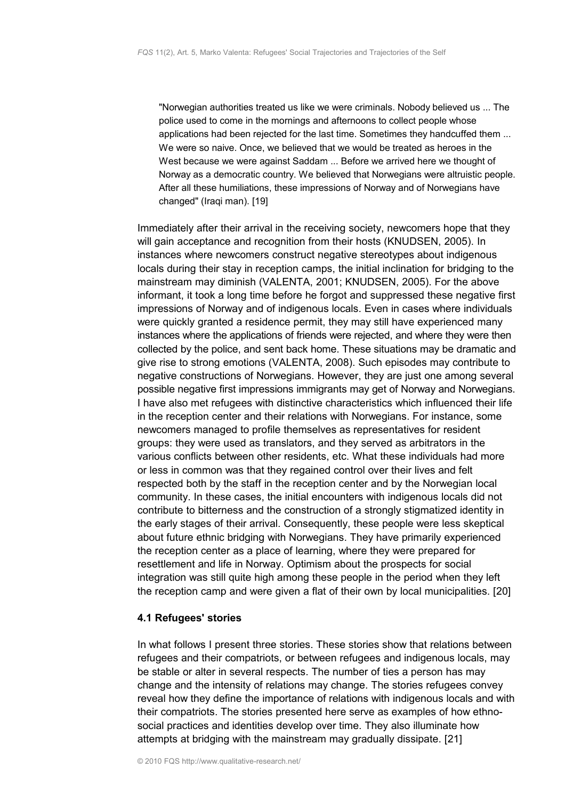"Norwegian authorities treated us like we were criminals. Nobody believed us ... The police used to come in the mornings and afternoons to collect people whose applications had been rejected for the last time. Sometimes they handcuffed them ... We were so naive. Once, we believed that we would be treated as heroes in the West because we were against Saddam ... Before we arrived here we thought of Norway as a democratic country. We believed that Norwegians were altruistic people. After all these humiliations, these impressions of Norway and of Norwegians have changed" (Iraqi man). [19]

Immediately after their arrival in the receiving society, newcomers hope that they will gain acceptance and recognition from their hosts (KNUDSEN, 2005). In instances where newcomers construct negative stereotypes about indigenous locals during their stay in reception camps, the initial inclination for bridging to the mainstream may diminish (VALENTA, 2001; KNUDSEN, 2005). For the above informant, it took a long time before he forgot and suppressed these negative first impressions of Norway and of indigenous locals. Even in cases where individuals were quickly granted a residence permit, they may still have experienced many instances where the applications of friends were rejected, and where they were then collected by the police, and sent back home. These situations may be dramatic and give rise to strong emotions (VALENTA, 2008). Such episodes may contribute to negative constructions of Norwegians. However, they are just one among several possible negative first impressions immigrants may get of Norway and Norwegians. I have also met refugees with distinctive characteristics which influenced their life in the reception center and their relations with Norwegians. For instance, some newcomers managed to profile themselves as representatives for resident groups: they were used as translators, and they served as arbitrators in the various conflicts between other residents, etc. What these individuals had more or less in common was that they regained control over their lives and felt respected both by the staff in the reception center and by the Norwegian local community. In these cases, the initial encounters with indigenous locals did not contribute to bitterness and the construction of a strongly stigmatized identity in the early stages of their arrival. Consequently, these people were less skeptical about future ethnic bridging with Norwegians. They have primarily experienced the reception center as a place of learning, where they were prepared for resettlement and life in Norway. Optimism about the prospects for social integration was still quite high among these people in the period when they left the reception camp and were given a flat of their own by local municipalities. [20]

## <span id="page-7-0"></span>**4.1 Refugees' stories**

In what follows I present three stories. These stories show that relations between refugees and their compatriots, or between refugees and indigenous locals, may be stable or alter in several respects. The number of ties a person has may change and the intensity of relations may change. The stories refugees convey reveal how they define the importance of relations with indigenous locals and with their compatriots. The stories presented here serve as examples of how ethnosocial practices and identities develop over time. They also illuminate how attempts at bridging with the mainstream may gradually dissipate. [21]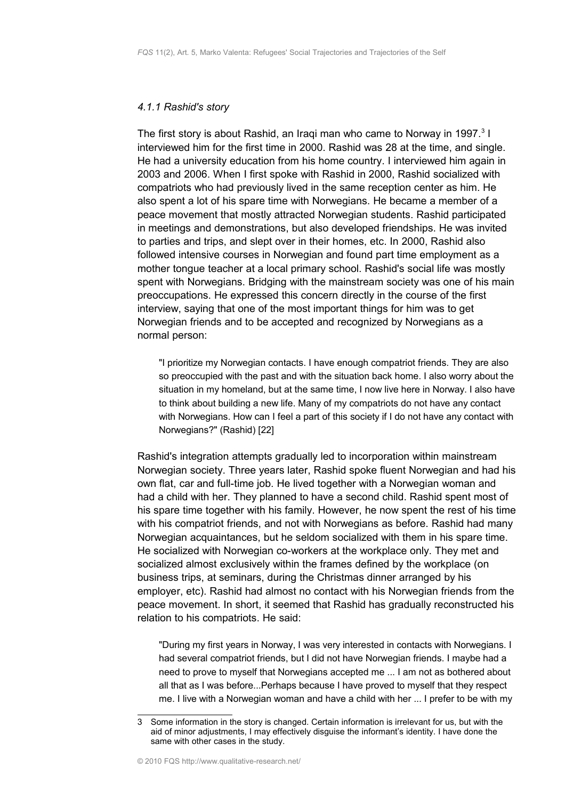### <span id="page-8-0"></span>*4.1.1 Rashid's story*

The first story is about Rashid, an Iraqi man who came to Norway in 1997. $3$  I interviewed him for the first time in 2000. Rashid was 28 at the time, and single. He had a university education from his home country. I interviewed him again in 2003 and 2006. When I first spoke with Rashid in 2000, Rashid socialized with compatriots who had previously lived in the same reception center as him. He also spent a lot of his spare time with Norwegians. He became a member of a peace movement that mostly attracted Norwegian students. Rashid participated in meetings and demonstrations, but also developed friendships. He was invited to parties and trips, and slept over in their homes, etc. In 2000, Rashid also followed intensive courses in Norwegian and found part time employment as a mother tongue teacher at a local primary school. Rashid's social life was mostly spent with Norwegians. Bridging with the mainstream society was one of his main preoccupations. He expressed this concern directly in the course of the first interview, saying that one of the most important things for him was to get Norwegian friends and to be accepted and recognized by Norwegians as a normal person:

"I prioritize my Norwegian contacts. I have enough compatriot friends. They are also so preoccupied with the past and with the situation back home. I also worry about the situation in my homeland, but at the same time, I now live here in Norway. I also have to think about building a new life. Many of my compatriots do not have any contact with Norwegians. How can I feel a part of this society if I do not have any contact with Norwegians?" (Rashid) [22]

Rashid's integration attempts gradually led to incorporation within mainstream Norwegian society. Three years later, Rashid spoke fluent Norwegian and had his own flat, car and full-time job. He lived together with a Norwegian woman and had a child with her. They planned to have a second child. Rashid spent most of his spare time together with his family. However, he now spent the rest of his time with his compatriot friends, and not with Norwegians as before. Rashid had many Norwegian acquaintances, but he seldom socialized with them in his spare time. He socialized with Norwegian co-workers at the workplace only. They met and socialized almost exclusively within the frames defined by the workplace (on business trips, at seminars, during the Christmas dinner arranged by his employer, etc). Rashid had almost no contact with his Norwegian friends from the peace movement. In short, it seemed that Rashid has gradually reconstructed his relation to his compatriots. He said:

"During my first years in Norway, I was very interested in contacts with Norwegians. I had several compatriot friends, but I did not have Norwegian friends. I maybe had a need to prove to myself that Norwegians accepted me ... I am not as bothered about all that as I was before...Perhaps because I have proved to myself that they respect me. I live with a Norwegian woman and have a child with her ... I prefer to be with my

<span id="page-8-1"></span><sup>3</sup> Some information in the story is changed. Certain information is irrelevant for us, but with the aid of minor adjustments, I may effectively disguise the informant's identity. I have done the same with other cases in the study.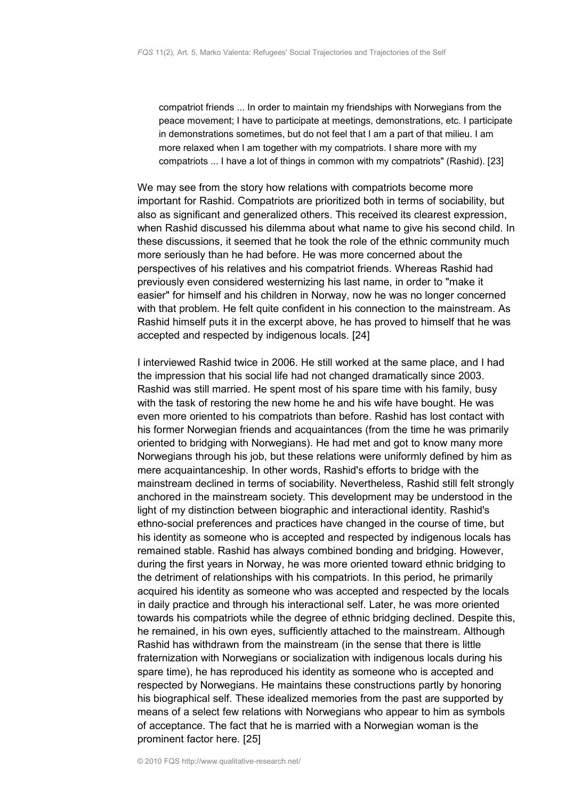compatriot friends ... In order to maintain my friendships with Norwegians from the peace movement; I have to participate at meetings, demonstrations, etc. I participate in demonstrations sometimes, but do not feel that I am a part of that milieu. I am more relaxed when I am together with my compatriots. I share more with my compatriots ... I have a lot of things in common with my compatriots" (Rashid). [23]

We may see from the story how relations with compatriots become more important for Rashid. Compatriots are prioritized both in terms of sociability, but also as significant and generalized others. This received its clearest expression, when Rashid discussed his dilemma about what name to give his second child. In these discussions, it seemed that he took the role of the ethnic community much more seriously than he had before. He was more concerned about the perspectives of his relatives and his compatriot friends. Whereas Rashid had previously even considered westernizing his last name, in order to "make it easier" for himself and his children in Norway, now he was no longer concerned with that problem. He felt quite confident in his connection to the mainstream. As Rashid himself puts it in the excerpt above, he has proved to himself that he was accepted and respected by indigenous locals. [24]

I interviewed Rashid twice in 2006. He still worked at the same place, and I had the impression that his social life had not changed dramatically since 2003. Rashid was still married. He spent most of his spare time with his family, busy with the task of restoring the new home he and his wife have bought. He was even more oriented to his compatriots than before. Rashid has lost contact with his former Norwegian friends and acquaintances (from the time he was primarily oriented to bridging with Norwegians). He had met and got to know many more Norwegians through his job, but these relations were uniformly defined by him as mere acquaintanceship. In other words, Rashid's efforts to bridge with the mainstream declined in terms of sociability. Nevertheless, Rashid still felt strongly anchored in the mainstream society. This development may be understood in the light of my distinction between biographic and interactional identity. Rashid's ethno-social preferences and practices have changed in the course of time, but his identity as someone who is accepted and respected by indigenous locals has remained stable. Rashid has always combined bonding and bridging. However, during the first years in Norway, he was more oriented toward ethnic bridging to the detriment of relationships with his compatriots. In this period, he primarily acquired his identity as someone who was accepted and respected by the locals in daily practice and through his interactional self. Later, he was more oriented towards his compatriots while the degree of ethnic bridging declined. Despite this, he remained, in his own eyes, sufficiently attached to the mainstream. Although Rashid has withdrawn from the mainstream (in the sense that there is little fraternization with Norwegians or socialization with indigenous locals during his spare time), he has reproduced his identity as someone who is accepted and respected by Norwegians. He maintains these constructions partly by honoring his biographical self. These idealized memories from the past are supported by means of a select few relations with Norwegians who appear to him as symbols of acceptance. The fact that he is married with a Norwegian woman is the prominent factor here. [25]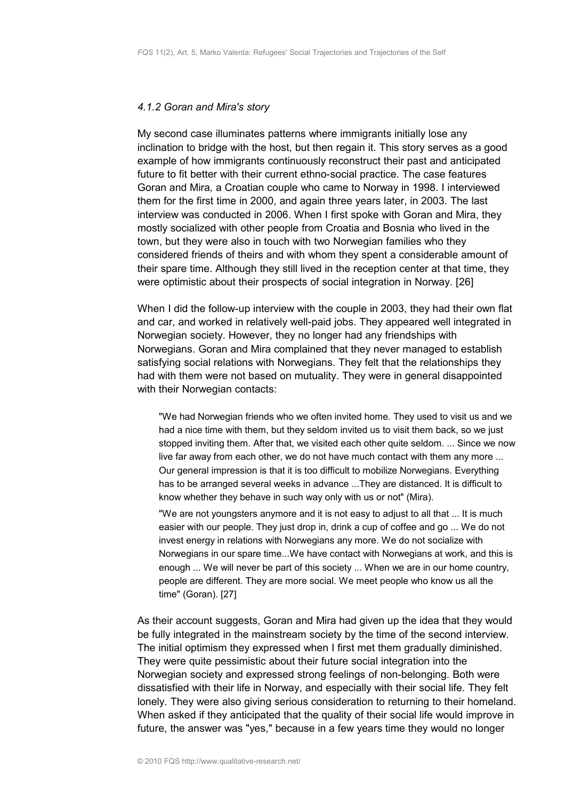#### <span id="page-10-0"></span>*4.1.2 Goran and Mira's story*

My second case illuminates patterns where immigrants initially lose any inclination to bridge with the host, but then regain it. This story serves as a good example of how immigrants continuously reconstruct their past and anticipated future to fit better with their current ethno-social practice. The case features Goran and Mira*,* a Croatian couple who came to Norway in 1998. I interviewed them for the first time in 2000, and again three years later, in 2003. The last interview was conducted in 2006. When I first spoke with Goran and Mira, they mostly socialized with other people from Croatia and Bosnia who lived in the town, but they were also in touch with two Norwegian families who they considered friends of theirs and with whom they spent a considerable amount of their spare time. Although they still lived in the reception center at that time, they were optimistic about their prospects of social integration in Norway. [26]

When I did the follow-up interview with the couple in 2003, they had their own flat and car, and worked in relatively well-paid jobs. They appeared well integrated in Norwegian society. However, they no longer had any friendships with Norwegians. Goran and Mira complained that they never managed to establish satisfying social relations with Norwegians. They felt that the relationships they had with them were not based on mutuality. They were in general disappointed with their Norwegian contacts:

"We had Norwegian friends who we often invited home. They used to visit us and we had a nice time with them, but they seldom invited us to visit them back, so we just stopped inviting them. After that, we visited each other quite seldom. ... Since we now live far away from each other, we do not have much contact with them any more ... Our general impression is that it is too difficult to mobilize Norwegians. Everything has to be arranged several weeks in advance ...They are distanced. It is difficult to know whether they behave in such way only with us or not" (Mira).

"We are not youngsters anymore and it is not easy to adjust to all that ... It is much easier with our people. They just drop in, drink a cup of coffee and go ... We do not invest energy in relations with Norwegians any more. We do not socialize with Norwegians in our spare time...We have contact with Norwegians at work, and this is enough ... We will never be part of this society ... When we are in our home country, people are different. They are more social. We meet people who know us all the time" (Goran). [27]

As their account suggests, Goran and Mira had given up the idea that they would be fully integrated in the mainstream society by the time of the second interview. The initial optimism they expressed when I first met them gradually diminished. They were quite pessimistic about their future social integration into the Norwegian society and expressed strong feelings of non-belonging. Both were dissatisfied with their life in Norway, and especially with their social life. They felt lonely. They were also giving serious consideration to returning to their homeland. When asked if they anticipated that the quality of their social life would improve in future, the answer was "yes," because in a few years time they would no longer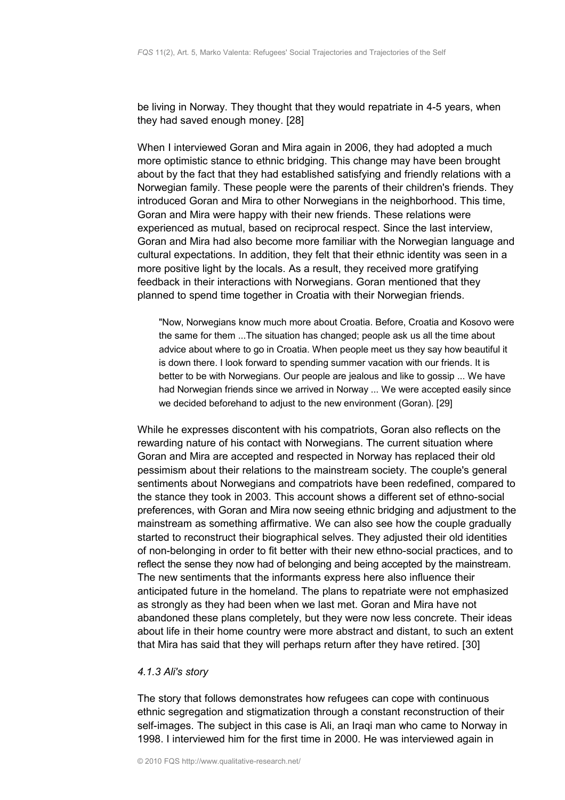be living in Norway. They thought that they would repatriate in 4-5 years, when they had saved enough money. [28]

When I interviewed Goran and Mira again in 2006, they had adopted a much more optimistic stance to ethnic bridging. This change may have been brought about by the fact that they had established satisfying and friendly relations with a Norwegian family. These people were the parents of their children's friends. They introduced Goran and Mira to other Norwegians in the neighborhood. This time, Goran and Mira were happy with their new friends. These relations were experienced as mutual, based on reciprocal respect. Since the last interview, Goran and Mira had also become more familiar with the Norwegian language and cultural expectations. In addition, they felt that their ethnic identity was seen in a more positive light by the locals. As a result, they received more gratifying feedback in their interactions with Norwegians. Goran mentioned that they planned to spend time together in Croatia with their Norwegian friends.

"Now, Norwegians know much more about Croatia. Before, Croatia and Kosovo were the same for them ...The situation has changed; people ask us all the time about advice about where to go in Croatia. When people meet us they say how beautiful it is down there. I look forward to spending summer vacation with our friends. It is better to be with Norwegians. Our people are jealous and like to gossip ... We have had Norwegian friends since we arrived in Norway ... We were accepted easily since we decided beforehand to adjust to the new environment (Goran). [29]

While he expresses discontent with his compatriots, Goran also reflects on the rewarding nature of his contact with Norwegians. The current situation where Goran and Mira are accepted and respected in Norway has replaced their old pessimism about their relations to the mainstream society. The couple's general sentiments about Norwegians and compatriots have been redefined, compared to the stance they took in 2003. This account shows a different set of ethno-social preferences, with Goran and Mira now seeing ethnic bridging and adjustment to the mainstream as something affirmative. We can also see how the couple gradually started to reconstruct their biographical selves. They adjusted their old identities of non-belonging in order to fit better with their new ethno-social practices, and to reflect the sense they now had of belonging and being accepted by the mainstream. The new sentiments that the informants express here also influence their anticipated future in the homeland. The plans to repatriate were not emphasized as strongly as they had been when we last met. Goran and Mira have not abandoned these plans completely, but they were now less concrete. Their ideas about life in their home country were more abstract and distant, to such an extent that Mira has said that they will perhaps return after they have retired. [30]

### <span id="page-11-0"></span>*4.1.3 Ali's story*

The story that follows demonstrates how refugees can cope with continuous ethnic segregation and stigmatization through a constant reconstruction of their self-images. The subject in this case is Ali, an Iraqi man who came to Norway in 1998. I interviewed him for the first time in 2000. He was interviewed again in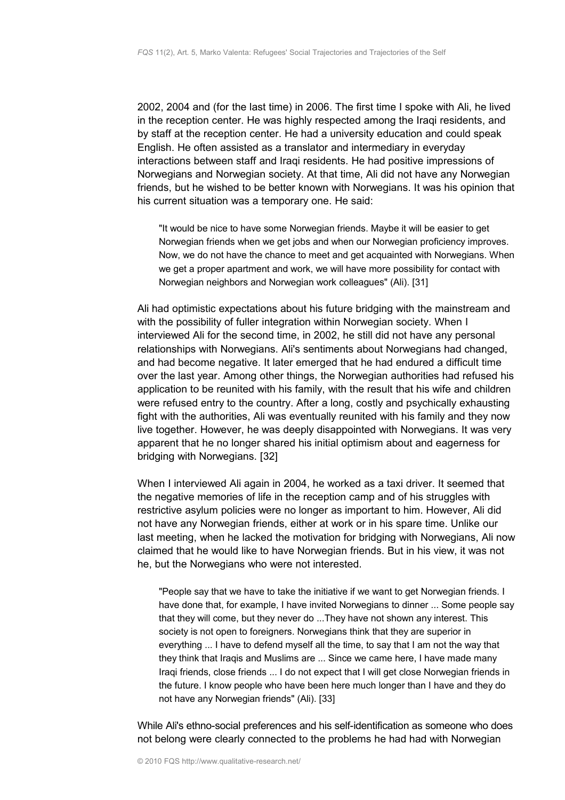2002, 2004 and (for the last time) in 2006. The first time I spoke with Ali, he lived in the reception center. He was highly respected among the Iraqi residents, and by staff at the reception center. He had a university education and could speak English. He often assisted as a translator and intermediary in everyday interactions between staff and Iraqi residents. He had positive impressions of Norwegians and Norwegian society. At that time, Ali did not have any Norwegian friends, but he wished to be better known with Norwegians. It was his opinion that his current situation was a temporary one. He said:

"It would be nice to have some Norwegian friends. Maybe it will be easier to get Norwegian friends when we get jobs and when our Norwegian proficiency improves. Now, we do not have the chance to meet and get acquainted with Norwegians. When we get a proper apartment and work, we will have more possibility for contact with Norwegian neighbors and Norwegian work colleagues" (Ali). [31]

Ali had optimistic expectations about his future bridging with the mainstream and with the possibility of fuller integration within Norwegian society. When I interviewed Ali for the second time, in 2002, he still did not have any personal relationships with Norwegians. Ali's sentiments about Norwegians had changed, and had become negative. It later emerged that he had endured a difficult time over the last year. Among other things, the Norwegian authorities had refused his application to be reunited with his family, with the result that his wife and children were refused entry to the country. After a long, costly and psychically exhausting fight with the authorities, Ali was eventually reunited with his family and they now live together. However, he was deeply disappointed with Norwegians. It was very apparent that he no longer shared his initial optimism about and eagerness for bridging with Norwegians. [32]

When I interviewed Ali again in 2004, he worked as a taxi driver. It seemed that the negative memories of life in the reception camp and of his struggles with restrictive asylum policies were no longer as important to him. However, Ali did not have any Norwegian friends, either at work or in his spare time. Unlike our last meeting, when he lacked the motivation for bridging with Norwegians, Ali now claimed that he would like to have Norwegian friends. But in his view, it was not he, but the Norwegians who were not interested.

"People say that we have to take the initiative if we want to get Norwegian friends. I have done that, for example, I have invited Norwegians to dinner ... Some people say that they will come, but they never do ...They have not shown any interest. This society is not open to foreigners. Norwegians think that they are superior in everything ... I have to defend myself all the time, to say that I am not the way that they think that Iraqis and Muslims are ... Since we came here, I have made many Iraqi friends, close friends ... I do not expect that I will get close Norwegian friends in the future. I know people who have been here much longer than I have and they do not have any Norwegian friends" (Ali). [33]

While Ali's ethno-social preferences and his self-identification as someone who does not belong were clearly connected to the problems he had had with Norwegian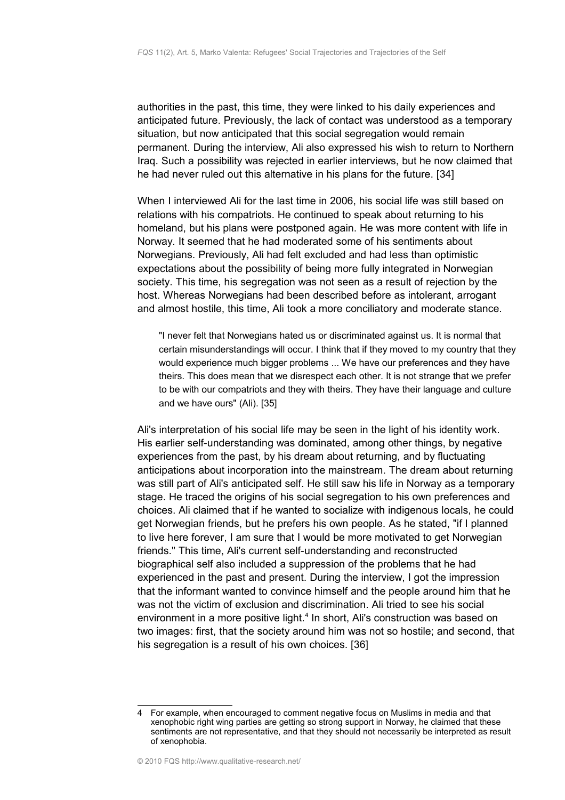authorities in the past, this time, they were linked to his daily experiences and anticipated future. Previously, the lack of contact was understood as a temporary situation, but now anticipated that this social segregation would remain permanent. During the interview, Ali also expressed his wish to return to Northern Iraq. Such a possibility was rejected in earlier interviews, but he now claimed that he had never ruled out this alternative in his plans for the future. [34]

When I interviewed Ali for the last time in 2006, his social life was still based on relations with his compatriots. He continued to speak about returning to his homeland, but his plans were postponed again. He was more content with life in Norway. It seemed that he had moderated some of his sentiments about Norwegians. Previously, Ali had felt excluded and had less than optimistic expectations about the possibility of being more fully integrated in Norwegian society. This time, his segregation was not seen as a result of rejection by the host. Whereas Norwegians had been described before as intolerant, arrogant and almost hostile, this time, Ali took a more conciliatory and moderate stance.

"I never felt that Norwegians hated us or discriminated against us. It is normal that certain misunderstandings will occur. I think that if they moved to my country that they would experience much bigger problems ... We have our preferences and they have theirs. This does mean that we disrespect each other. It is not strange that we prefer to be with our compatriots and they with theirs. They have their language and culture and we have ours" (Ali). [35]

Ali's interpretation of his social life may be seen in the light of his identity work. His earlier self-understanding was dominated, among other things, by negative experiences from the past, by his dream about returning, and by fluctuating anticipations about incorporation into the mainstream. The dream about returning was still part of Ali's anticipated self. He still saw his life in Norway as a temporary stage. He traced the origins of his social segregation to his own preferences and choices. Ali claimed that if he wanted to socialize with indigenous locals, he could get Norwegian friends, but he prefers his own people. As he stated, "if I planned to live here forever, I am sure that I would be more motivated to get Norwegian friends." This time, Ali's current self-understanding and reconstructed biographical self also included a suppression of the problems that he had experienced in the past and present. During the interview, I got the impression that the informant wanted to convince himself and the people around him that he was not the victim of exclusion and discrimination. Ali tried to see his social environment in a more positive light.<sup>[4](#page-13-0)</sup> In short, Ali's construction was based on two images: first, that the society around him was not so hostile; and second, that his segregation is a result of his own choices. [36]

<span id="page-13-0"></span><sup>4</sup> For example, when encouraged to comment negative focus on Muslims in media and that xenophobic right wing parties are getting so strong support in Norway, he claimed that these sentiments are not representative, and that they should not necessarily be interpreted as result of xenophobia.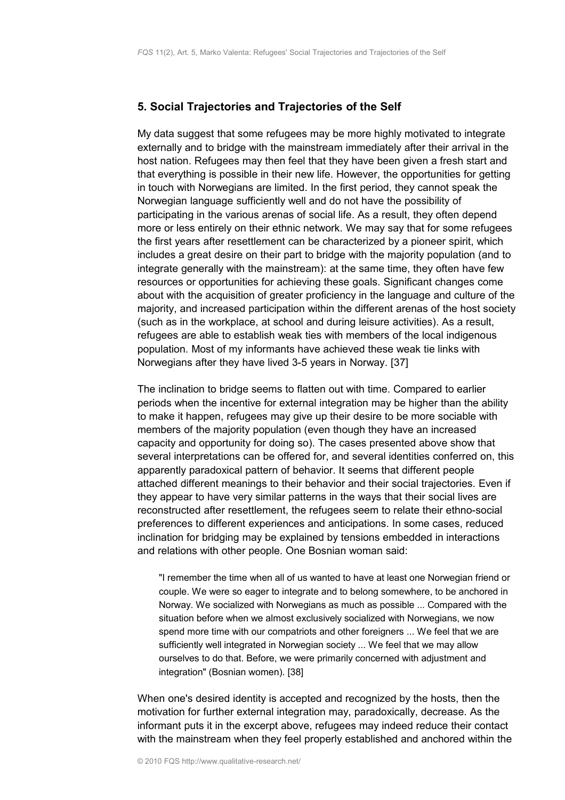## <span id="page-14-0"></span>**5. Social Trajectories and Trajectories of the Self**

My data suggest that some refugees may be more highly motivated to integrate externally and to bridge with the mainstream immediately after their arrival in the host nation. Refugees may then feel that they have been given a fresh start and that everything is possible in their new life. However, the opportunities for getting in touch with Norwegians are limited. In the first period, they cannot speak the Norwegian language sufficiently well and do not have the possibility of participating in the various arenas of social life. As a result, they often depend more or less entirely on their ethnic network. We may say that for some refugees the first years after resettlement can be characterized by a pioneer spirit, which includes a great desire on their part to bridge with the majority population (and to integrate generally with the mainstream): at the same time, they often have few resources or opportunities for achieving these goals. Significant changes come about with the acquisition of greater proficiency in the language and culture of the majority, and increased participation within the different arenas of the host society (such as in the workplace, at school and during leisure activities). As a result, refugees are able to establish weak ties with members of the local indigenous population. Most of my informants have achieved these weak tie links with Norwegians after they have lived 3-5 years in Norway. [37]

The inclination to bridge seems to flatten out with time. Compared to earlier periods when the incentive for external integration may be higher than the ability to make it happen, refugees may give up their desire to be more sociable with members of the majority population (even though they have an increased capacity and opportunity for doing so). The cases presented above show that several interpretations can be offered for, and several identities conferred on, this apparently paradoxical pattern of behavior. It seems that different people attached different meanings to their behavior and their social trajectories. Even if they appear to have very similar patterns in the ways that their social lives are reconstructed after resettlement, the refugees seem to relate their ethno-social preferences to different experiences and anticipations. In some cases, reduced inclination for bridging may be explained by tensions embedded in interactions and relations with other people. One Bosnian woman said:

"I remember the time when all of us wanted to have at least one Norwegian friend or couple. We were so eager to integrate and to belong somewhere, to be anchored in Norway. We socialized with Norwegians as much as possible ... Compared with the situation before when we almost exclusively socialized with Norwegians, we now spend more time with our compatriots and other foreigners ... We feel that we are sufficiently well integrated in Norwegian society ... We feel that we may allow ourselves to do that. Before, we were primarily concerned with adjustment and integration" (Bosnian women). [38]

When one's desired identity is accepted and recognized by the hosts, then the motivation for further external integration may, paradoxically, decrease. As the informant puts it in the excerpt above, refugees may indeed reduce their contact with the mainstream when they feel properly established and anchored within the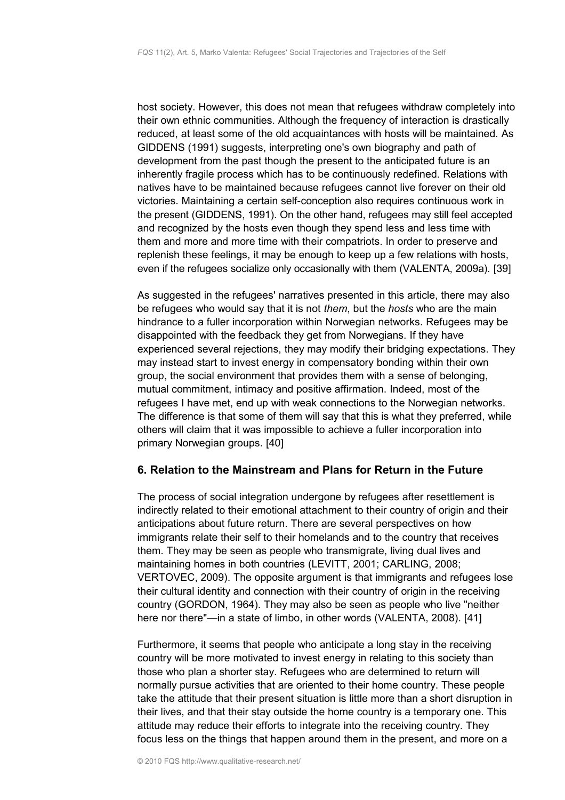host society. However, this does not mean that refugees withdraw completely into their own ethnic communities. Although the frequency of interaction is drastically reduced, at least some of the old acquaintances with hosts will be maintained. As GIDDENS (1991) suggests, interpreting one's own biography and path of development from the past though the present to the anticipated future is an inherently fragile process which has to be continuously redefined. Relations with natives have to be maintained because refugees cannot live forever on their old victories. Maintaining a certain self-conception also requires continuous work in the present (GIDDENS, 1991). On the other hand, refugees may still feel accepted and recognized by the hosts even though they spend less and less time with them and more and more time with their compatriots. In order to preserve and replenish these feelings, it may be enough to keep up a few relations with hosts, even if the refugees socialize only occasionally with them (VALENTA, 2009a). [39]

As suggested in the refugees' narratives presented in this article, there may also be refugees who would say that it is not *them*, but the *hosts* who are the main hindrance to a fuller incorporation within Norwegian networks. Refugees may be disappointed with the feedback they get from Norwegians. If they have experienced several rejections, they may modify their bridging expectations. They may instead start to invest energy in compensatory bonding within their own group, the social environment that provides them with a sense of belonging, mutual commitment, intimacy and positive affirmation. Indeed, most of the refugees I have met, end up with weak connections to the Norwegian networks. The difference is that some of them will say that this is what they preferred, while others will claim that it was impossible to achieve a fuller incorporation into primary Norwegian groups. [40]

# <span id="page-15-0"></span>**6. Relation to the Mainstream and Plans for Return in the Future**

The process of social integration undergone by refugees after resettlement is indirectly related to their emotional attachment to their country of origin and their anticipations about future return. There are several perspectives on how immigrants relate their self to their homelands and to the country that receives them. They may be seen as people who transmigrate, living dual lives and maintaining homes in both countries (LEVITT, 2001; CARLING, 2008; VERTOVEC, 2009). The opposite argument is that immigrants and refugees lose their cultural identity and connection with their country of origin in the receiving country (GORDON, 1964). They may also be seen as people who live "neither here nor there"—in a state of limbo, in other words (VALENTA, 2008). [41]

Furthermore, it seems that people who anticipate a long stay in the receiving country will be more motivated to invest energy in relating to this society than those who plan a shorter stay. Refugees who are determined to return will normally pursue activities that are oriented to their home country. These people take the attitude that their present situation is little more than a short disruption in their lives, and that their stay outside the home country is a temporary one. This attitude may reduce their efforts to integrate into the receiving country. They focus less on the things that happen around them in the present, and more on a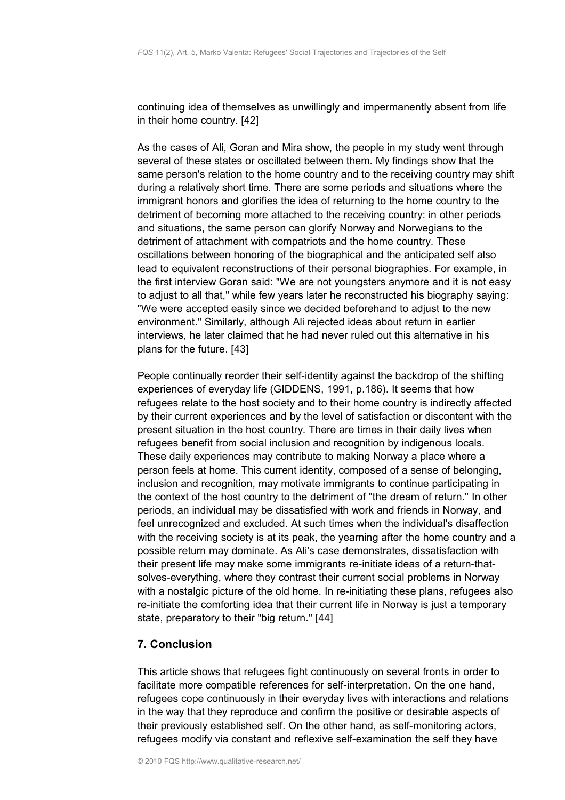continuing idea of themselves as unwillingly and impermanently absent from life in their home country. [42]

As the cases of Ali, Goran and Mira show, the people in my study went through several of these states or oscillated between them. My findings show that the same person's relation to the home country and to the receiving country may shift during a relatively short time. There are some periods and situations where the immigrant honors and glorifies the idea of returning to the home country to the detriment of becoming more attached to the receiving country: in other periods and situations, the same person can glorify Norway and Norwegians to the detriment of attachment with compatriots and the home country. These oscillations between honoring of the biographical and the anticipated self also lead to equivalent reconstructions of their personal biographies. For example, in the first interview Goran said: "We are not youngsters anymore and it is not easy to adjust to all that," while few years later he reconstructed his biography saying: "We were accepted easily since we decided beforehand to adjust to the new environment." Similarly, although Ali rejected ideas about return in earlier interviews, he later claimed that he had never ruled out this alternative in his plans for the future. [43]

People continually reorder their self-identity against the backdrop of the shifting experiences of everyday life (GIDDENS, 1991, p.186). It seems that how refugees relate to the host society and to their home country is indirectly affected by their current experiences and by the level of satisfaction or discontent with the present situation in the host country. There are times in their daily lives when refugees benefit from social inclusion and recognition by indigenous locals. These daily experiences may contribute to making Norway a place where a person feels at home. This current identity, composed of a sense of belonging, inclusion and recognition, may motivate immigrants to continue participating in the context of the host country to the detriment of "the dream of return." In other periods, an individual may be dissatisfied with work and friends in Norway, and feel unrecognized and excluded. At such times when the individual's disaffection with the receiving society is at its peak, the yearning after the home country and a possible return may dominate. As Ali's case demonstrates, dissatisfaction with their present life may make some immigrants re-initiate ideas of a return-thatsolves-everything, where they contrast their current social problems in Norway with a nostalgic picture of the old home. In re-initiating these plans, refugees also re-initiate the comforting idea that their current life in Norway is just a temporary state, preparatory to their "big return." [44]

# <span id="page-16-0"></span>**7. Conclusion**

This article shows that refugees fight continuously on several fronts in order to facilitate more compatible references for self-interpretation. On the one hand, refugees cope continuously in their everyday lives with interactions and relations in the way that they reproduce and confirm the positive or desirable aspects of their previously established self. On the other hand, as self-monitoring actors, refugees modify via constant and reflexive self-examination the self they have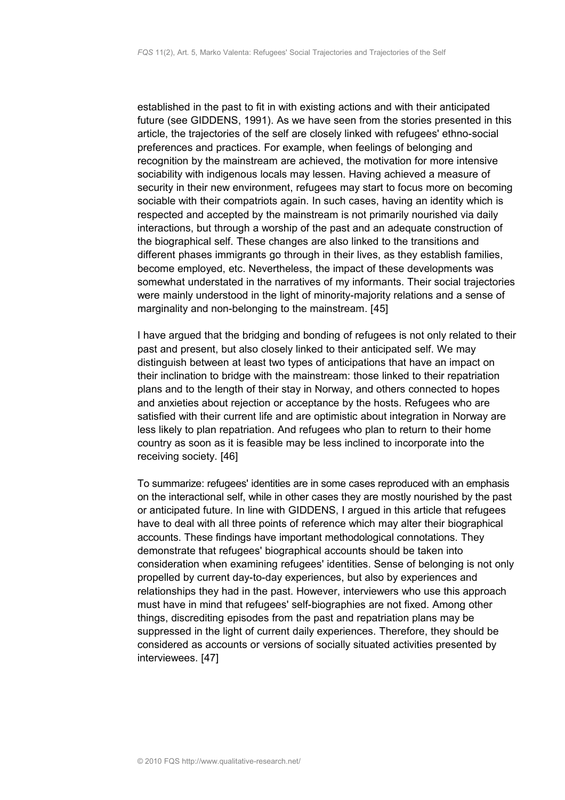established in the past to fit in with existing actions and with their anticipated future (see GIDDENS, 1991). As we have seen from the stories presented in this article, the trajectories of the self are closely linked with refugees' ethno-social preferences and practices. For example, when feelings of belonging and recognition by the mainstream are achieved, the motivation for more intensive sociability with indigenous locals may lessen. Having achieved a measure of security in their new environment, refugees may start to focus more on becoming sociable with their compatriots again. In such cases, having an identity which is respected and accepted by the mainstream is not primarily nourished via daily interactions, but through a worship of the past and an adequate construction of the biographical self. These changes are also linked to the transitions and different phases immigrants go through in their lives, as they establish families, become employed, etc. Nevertheless, the impact of these developments was somewhat understated in the narratives of my informants. Their social trajectories were mainly understood in the light of minority-majority relations and a sense of marginality and non-belonging to the mainstream. [45]

I have argued that the bridging and bonding of refugees is not only related to their past and present, but also closely linked to their anticipated self. We may distinguish between at least two types of anticipations that have an impact on their inclination to bridge with the mainstream: those linked to their repatriation plans and to the length of their stay in Norway, and others connected to hopes and anxieties about rejection or acceptance by the hosts. Refugees who are satisfied with their current life and are optimistic about integration in Norway are less likely to plan repatriation. And refugees who plan to return to their home country as soon as it is feasible may be less inclined to incorporate into the receiving society. [46]

To summarize: refugees' identities are in some cases reproduced with an emphasis on the interactional self, while in other cases they are mostly nourished by the past or anticipated future. In line with GIDDENS, I argued in this article that refugees have to deal with all three points of reference which may alter their biographical accounts. These findings have important methodological connotations. They demonstrate that refugees' biographical accounts should be taken into consideration when examining refugees' identities. Sense of belonging is not only propelled by current day-to-day experiences, but also by experiences and relationships they had in the past. However, interviewers who use this approach must have in mind that refugees' self-biographies are not fixed. Among other things, discrediting episodes from the past and repatriation plans may be suppressed in the light of current daily experiences. Therefore, they should be considered as accounts or versions of socially situated activities presented by interviewees. [47]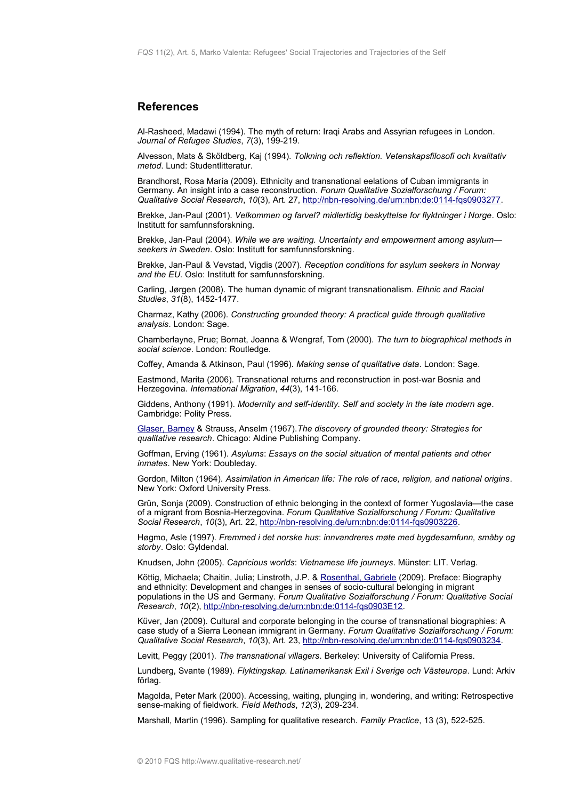### <span id="page-18-0"></span>**References**

Al-Rasheed, Madawi (1994). The myth of return: Iraqi Arabs and Assyrian refugees in London. *Journal of Refugee Studies*, *7*(3), 199-219.

Alvesson, Mats & Sköldberg, Kaj (1994). *Tolkning och reflektion. Vetenskapsfilosofi och kvalitativ metod*. Lund: Studentlitteratur.

Brandhorst, Rosa María (2009). Ethnicity and transnational eelations of Cuban immigrants in Germany. An insight into a case reconstruction. *Forum Qualitative Sozialforschung / Forum: Qualitative Social Research*, *10*(3), Art. 27, [http://nbn-resolving.de/urn:nbn:de:0114-fqs0903277.](http://nbn-resolving.de/urn:nbn:de:0114-fqs0903277)

Brekke, Jan-Paul (2001). *Velkommen og farvel? midlertidig beskyttelse for flyktninger i Norge*. Oslo: Institutt for samfunnsforskning.

Brekke, Jan-Paul (2004). *While we are waiting. Uncertainty and empowerment among asylum seekers in Sweden*. Oslo: Institutt for samfunnsforskning.

Brekke, Jan-Paul & Vevstad, Vigdis (2007). *Reception conditions for asylum seekers in Norway and the EU.* Oslo: Institutt for samfunnsforskning.

Carling, Jørgen (2008). The human dynamic of migrant transnationalism. *Ethnic and Racial Studies*, *31*(8), 1452-1477.

Charmaz, Kathy (2006). *Constructing grounded theory: A practical guide through qualitative analysis*. London: Sage.

Chamberlayne, Prue; Bornat, Joanna & Wengraf, Tom (2000). *The turn to biographical methods in social science*. London: Routledge.

Coffey, Amanda & Atkinson, Paul (1996). *Making sense of qualitative data*. London: Sage.

Eastmond, Marita (2006). Transnational returns and reconstruction in post-war Bosnia and Herzegovina. *International Migration*, *44*(3), 141-166.

Giddens, Anthony (1991). *Modernity and self-identity. Self and society in the late modern age*. Cambridge: Polity Press.

[Glaser, Barney](http://www.qualitative-research.net/index.php/fqs/about/displayMembership/2) & Strauss, Anselm (1967).*The discovery of grounded theory: Strategies for qualitative research*. Chicago: Aldine Publishing Company.

Goffman, Erving (1961). *Asylums*: *Essays on the social situation of mental patients and other inmates*. New York: Doubleday.

Gordon, Milton (1964). *Assimilation in American life: The role of race, religion, and national origins*. New York: Oxford University Press.

Grün, Sonja (2009). Construction of ethnic belonging in the context of former Yugoslavia—the case of a migrant from Bosnia-Herzegovina. *Forum Qualitative Sozialforschung / Forum: Qualitative Social Research*, *10*(3), Art. 22, [http://nbn-resolving.de/urn:nbn:de:0114-fqs0903226.](http://nbn-resolving.de/urn:nbn:de:0114-fqs0903226)

Høgmo, Asle (1997). *Fremmed i det norske hus*: *innvandreres møte med bygdesamfunn, småby og storby*. Oslo: Gyldendal.

Knudsen, John (2005). *Capricious worlds*: *Vietnamese life journeys*. Münster: LIT. Verlag.

Köttig, Michaela; Chaitin, Julia; Linstroth, J.P. & [Rosenthal, Gabriele](http://www.qualitative-research.net/index.php/fqs/about/displayMembership/2) (2009). Preface: Biography and ethnicity: Development and changes in senses of socio-cultural belonging in migrant populations in the US and Germany. *Forum Qualitative Sozialforschung / Forum: Qualitative Social Research*, *10*(2), [http://nbn-resolving.de/urn:nbn:de:0114-fqs0903E12.](http://nbn-resolving.de/urn:nbn:de:0114-fqs0903E12)

Küver, Jan (2009). Cultural and corporate belonging in the course of transnational biographies: A case study of a Sierra Leonean immigrant in Germany. *Forum Qualitative Sozialforschung / Forum: Qualitative Social Research*, *10*(3), Art. 23, [http://nbn-resolving.de/urn:nbn:de:0114-fqs0903234.](http://nbn-resolving.de/urn:nbn:de:0114-fqs0903234)

Levitt, Peggy (2001). *The transnational villagers*. Berkeley: University of California Press.

Lundberg, Svante (1989). *Flyktingskap. Latinamerikansk Exil i Sverige och Västeuropa*. Lund: Arkiv förlag.

Magolda, Peter Mark (2000). Accessing, waiting, plunging in, wondering, and writing: Retrospective sense-making of fieldwork. *Field Methods*, *12*(3), 209-234.

Marshall, Martin (1996). Sampling for qualitative research. *Family Practice*, 13 (3), 522-525.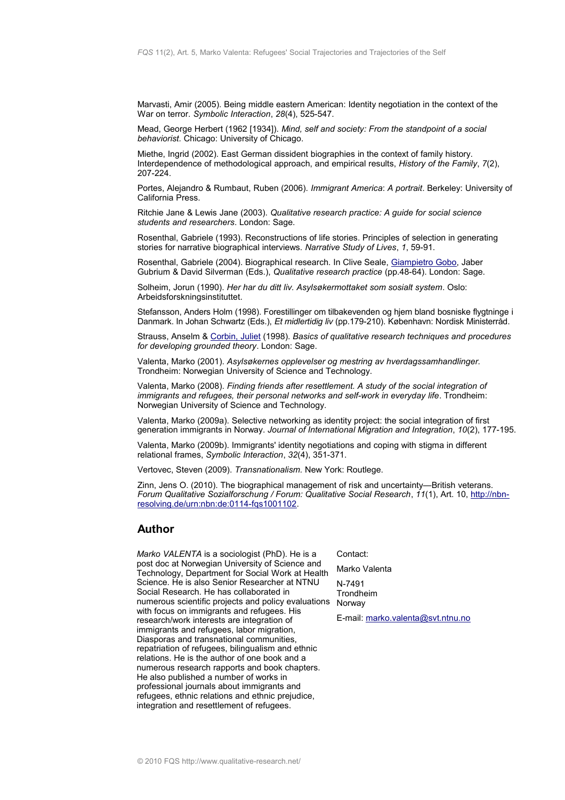Marvasti, Amir (2005). Being middle eastern American: Identity negotiation in the context of the War on terror. *Symbolic Interaction*, *28*(4), 525-547.

Mead, George Herbert (1962 [1934]). *Mind, self and society: From the standpoint of a social behaviorist.* Chicago: University of Chicago.

Miethe, Ingrid (2002). East German dissident biographies in the context of family history. Interdependence of methodological approach, and empirical results, *History of the Family*, *7*(2), 207-224.

Portes, Alejandro & Rumbaut, Ruben (2006). *Immigrant America*: *A portrait*. Berkeley: University of California Press.

Ritchie Jane & Lewis Jane (2003). *Qualitative research practice: A guide for social science students and researchers*. London: Sage.

Rosenthal, Gabriele (1993). Reconstructions of life stories. Principles of selection in generating stories for narrative biographical interviews. *Narrative Study of Lives*, *1*, 59-91.

Rosenthal, Gabriele (2004). Biographical research. In Clive Seale, [Giampietro Gobo,](http://www.qualitative-research.net/index.php/fqs/about/displayMembership/2) Jaber Gubrium & David Silverman (Eds.), *Qualitative research practice* (pp.48-64). London: Sage.

Solheim, Jorun (1990). *Her har du ditt liv. Asylsøkermottaket som sosialt system*. Oslo: Arbeidsforskningsinstituttet.

Stefansson, Anders Holm (1998). Forestillinger om tilbakevenden og hjem bland bosniske flygtninge i Danmark. In Johan Schwartz (Eds.), *Et midlertidig liv* (pp.179-210). København: Nordisk Ministerråd.

Strauss, Anselm & [Corbin, Juliet](http://www.qualitative-research.net/index.php/fqs/about/displayMembership/2) (1998). *Basics of qualitative research techniques and procedures for developing grounded theory*. London: Sage.

Valenta, Marko (2001). *Asylsøkernes opplevelser og mestring av hverdagssamhandlinger.* Trondheim: Norwegian University of Science and Technology.

Valenta, Marko (2008). *Finding friends after resettlement. A study of the social integration of immigrants and refugees, their personal networks and self-work in everyday life. Trondheim:* Norwegian University of Science and Technology.

Valenta, Marko (2009a). Selective networking as identity project: the social integration of first generation immigrants in Norway. *Journal of International Migration and Integration*, *10*(2), 177-195.

Valenta, Marko (2009b). Immigrants' identity negotiations and coping with stigma in different relational frames, *Symbolic Interaction*, *32*(4), 351-371.

Vertovec, Steven (2009). *Transnationalism.* New York: Routlege.

Zinn, Jens O. (2010). The biographical management of risk and uncertainty—British veterans. *Forum Qualitative Sozialforschung / Forum: Qualitative Social Research*, *11*(1), Art. 10, [http://nbn](http://nbn-resolving.de/urn:nbn:de:0114-fqs1001102)[resolving.de/urn:nbn:de:0114-fqs1001102.](http://nbn-resolving.de/urn:nbn:de:0114-fqs1001102)

### <span id="page-19-0"></span>**Author**

*Marko VALENTA* is a sociologist (PhD). He is a post doc at Norwegian University of Science and Technology, Department for Social Work at Health Science. He is also Senior Researcher at NTNU Social Research. He has collaborated in numerous scientific projects and policy evaluations Norway with focus on immigrants and refugees. His research/work interests are integration of immigrants and refugees, labor migration, Diasporas and transnational communities, repatriation of refugees, bilingualism and ethnic relations. He is the author of one book and a numerous research rapports and book chapters. He also published a number of works in professional journals about immigrants and refugees, ethnic relations and ethnic prejudice, integration and resettlement of refugees.

Contact:

Marko Valenta

N-7491 Trondheim

E-mail: [marko.valenta@svt.ntnu.no](mailto:marko.valenta@svt.ntnu.no)